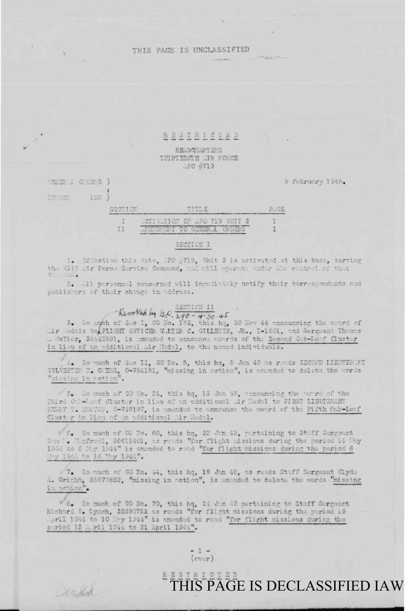## THIS PACE IS UNCLASSIFIED

### RESTRICTED

HEADQUARTERS THIRTEENTH AIR FORCE APO #719

9 February 1945.

CENER'I CODEPS 1 MULTARD  $135$  )

Carles

| SECTION   | 外海神界                                                                                                                                                                      |  |
|-----------|---------------------------------------------------------------------------------------------------------------------------------------------------------------------------|--|
|           | ACTIVATION OF APO 719 UNIT 3                                                                                                                                              |  |
| THE THEFT | <b>INSTIDUENT TO GENER L ORDERS</b><br>the same completed to the same complete of the same complete the same of the same place that they does not the complete three same |  |

#### SECTION I

1. Effective this date, APO #719, Unit 3 is activated at this base, serving the XIII Air Force Service Command, and will operate under the control of that mad.

All personnel concerned will inmediately notify their correspondents and  $2.$ publishers of their change in address.

# Revolted by G.O. 380-4-30-45

3. So mych of Sec I, GO No. 183, this hq, 30 Nov 44 announcing the award of Mir Medals to FLIGHT OFFICER WALTER C. GILLETTE, JR., T-1601, and Sergeant Thomas A McTier, 34442891, is amended to announce awards of the Second Cak-Leaf Cluster in lieu of an additional Air Modal, to the named individuals.

4. So much of Sec II, GO No. 5, this hq, 5 Jan 45 as reads SECOND LIEUTEN NT SYLVESTER N. ORENS, 0-754181, "missing in action", is amonded to delete the vords "missing in action".

5. So much of GO No. 24, this hq, 13 Jan 45, announcing the award of the Third Onk-Loaf Cluster in lieu of an additional Mir Medal to FIRST LIBUTEMANT HEWRY T. HOPTOF, 0-748187, is amended to announce the award of the Fifth Oak-Leaf Cluster in lieu of an additional Mir Modal.

V 6. So much of GO No. 60, this hq, 22 Jan 45, portaining to Staff Sergeant Son N. Hanfrodi, 36615401, as roads "for flight missions during the period 14 May 1944 to 6 Imy 1944" is amonded to read "for flight missions during the period 6 hy 1944 to 14 Mhy 1944".

7. So much of GO No. 44, this hq, 18 Jan 45, as reads Staff Sergeant Clyde A. Wright, 35577852, "missing in action", is amonded to delete the words "missing in action".

8. So much of GO No. 70, this hq, 24 Jan 45 pertaining to Staff Sergeant Richard G. Lynch, 32390752 as reads "for flight missions during the period 19 April 1944 to 10 May 1944" is amonded to read "for flight missions during the poriod 12 A ril 1944 to 21 April 1944".

> $-1 (cvar)$

# **E E S T B L G T E D**<br>THIS PAGE IS DECLASSIFIED IAW